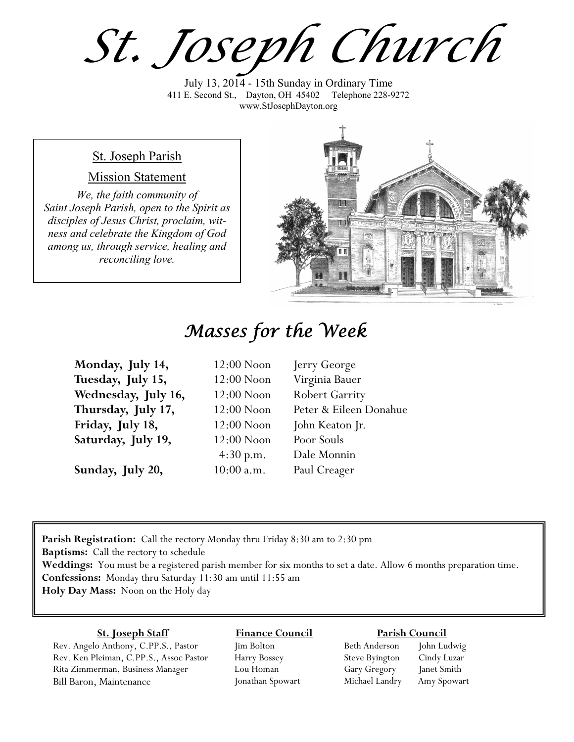*St. Joseph Church*

July 13, 2014 - 15th Sunday in Ordinary Time 411 E. Second St., Dayton, OH 45402 Telephone 228-9272 www.StJosephDayton.org

### St. Joseph Parish

### Mission Statement

*We, the faith community of Saint Joseph Parish, open to the Spirit as disciples of Jesus Christ, proclaim, witness and celebrate the Kingdom of God among us, through service, healing and reconciling love.*



# *Masses for the Week*

| Monday, July 14,    | $12:00$ Noon | Jerry George           |
|---------------------|--------------|------------------------|
| Tuesday, July 15,   | $12:00$ Noon | Virginia Bauer         |
| Wednesday, July 16, | $12:00$ Noon | <b>Robert Garrity</b>  |
| Thursday, July 17,  | $12:00$ Noon | Peter & Eileen Donahue |
| Friday, July 18,    | $12:00$ Noon | John Keaton Jr.        |
| Saturday, July 19,  | $12:00$ Noon | Poor Souls             |
|                     | 4:30 p.m.    | Dale Monnin            |
| Sunday, July 20,    | $10:00$ a.m. | Paul Creager           |

**Parish Registration:** Call the rectory Monday thru Friday 8:30 am to 2:30 pm **Baptisms:** Call the rectory to schedule **Weddings:** You must be a registered parish member for six months to set a date. Allow 6 months preparation time. **Confessions:** Monday thru Saturday 11:30 am until 11:55 am **Holy Day Mass:** Noon on the Holy day

### **St. Joseph Staff**

Rev. Angelo Anthony, C.PP.S., Pastor Rev. Ken Pleiman, C.PP.S., Assoc Pastor Rita Zimmerman, Business Manager Bill Baron, Maintenance

### **Finance Council** Jim Bolton

Harry Bossey Lou Homan Jonathan Spowart

#### **Parish Council**

Beth Anderson John Ludwig Steve Byington Cindy Luzar Gary Gregory Janet Smith Michael Landry Amy Spowart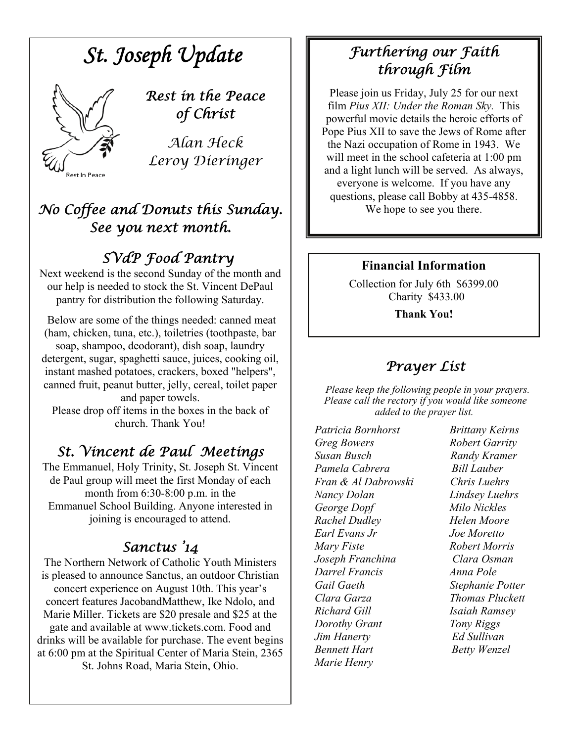

soap, shampoo, deodorant), dish soap, laundry detergent, sugar, spaghetti sauce, juices, cooking oil, instant mashed potatoes, crackers, boxed "helpers", canned fruit, peanut butter, jelly, cereal, toilet paper and paper towels. Please drop off items in the boxes in the back of

church. Thank You!

# *St. Vincent de Paul Meetings*

The Emmanuel, Holy Trinity, St. Joseph St. Vincent de Paul group will meet the first Monday of each month from 6:30-8:00 p.m. in the Emmanuel School Building. Anyone interested in joining is encouraged to attend.

## *Sanctus '14*

The Northern Network of Catholic Youth Ministers is pleased to announce Sanctus, an outdoor Christian concert experience on August 10th. This year's concert features JacobandMatthew, Ike Ndolo, and Marie Miller. Tickets are \$20 presale and \$25 at the gate and available at www.tickets.com. Food and drinks will be available for purchase. The event begins at 6:00 pm at the Spiritual Center of Maria Stein, 2365 St. Johns Road, Maria Stein, Ohio.

# *Furthering our Faith through Film*

Please join us Friday, July 25 for our next film *Pius XII: Under the Roman Sky.* This powerful movie details the heroic efforts of Pope Pius XII to save the Jews of Rome after the Nazi occupation of Rome in 1943. We will meet in the school cafeteria at 1:00 pm and a light lunch will be served. As always, everyone is welcome. If you have any questions, please call Bobby at 435-4858. We hope to see you there.

### **Financial Information**

Collection for July 6th \$6399.00 Charity \$433.00

**Thank You!** 

# *Prayer List*

 *Please keep the following people in your prayers. Please call the rectory if you would like someone added to the prayer list.* 

*Patricia Bornhorst Brittany Keirns Greg Bowers Robert Garrity Susan Busch Randy Kramer Pamela Cabrera Bill Lauber Fran & Al Dabrowski Chris Luehrs Nancy Dolan Lindsey Luehrs George Dopf Milo Nickles Rachel Dudley Helen Moore Earl Evans Jr Joe Moretto Mary Fiste Robert Morris Joseph Franchina Clara Osman Darrel Francis Anna Pole Gail Gaeth Stephanie Potter Clara Garza Thomas Pluckett Richard Gill Isaiah Ramsey Dorothy Grant Tony Riggs Jim Hanerty Ed Sullivan Bennett Hart* **Betty Wenzel** *Marie Henry*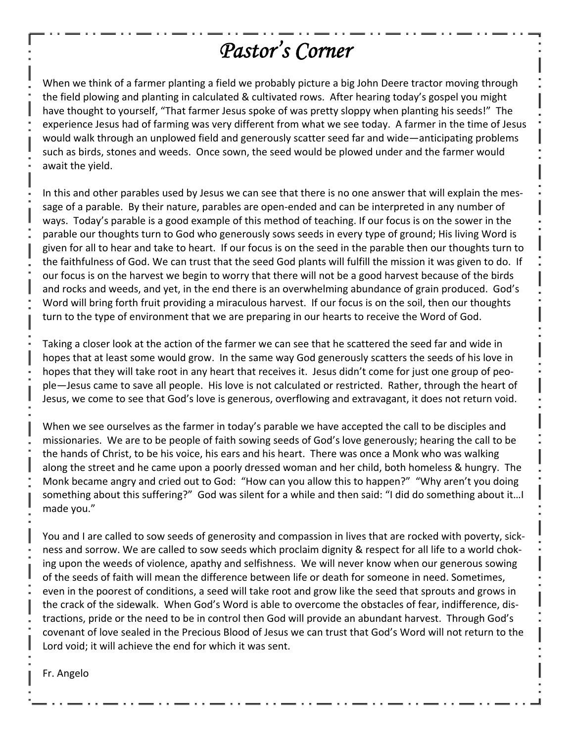# *Pastor's Corner*

When we think of a farmer planting a field we probably picture a big John Deere tractor moving through the field plowing and planting in calculated & cultivated rows. After hearing today's gospel you might have thought to yourself, "That farmer Jesus spoke of was pretty sloppy when planting his seeds!" The experience Jesus had of farming was very different from what we see today. A farmer in the time of Jesus would walk through an unplowed field and generously scatter seed far and wide—anticipating problems such as birds, stones and weeds. Once sown, the seed would be plowed under and the farmer would await the yield.

In this and other parables used by Jesus we can see that there is no one answer that will explain the mes‐ sage of a parable. By their nature, parables are open-ended and can be interpreted in any number of ways. Today's parable is a good example of this method of teaching. If our focus is on the sower in the parable our thoughts turn to God who generously sows seeds in every type of ground; His living Word is given for all to hear and take to heart. If our focus is on the seed in the parable then our thoughts turn to the faithfulness of God. We can trust that the seed God plants will fulfill the mission it was given to do. If our focus is on the harvest we begin to worry that there will not be a good harvest because of the birds and rocks and weeds, and yet, in the end there is an overwhelming abundance of grain produced. God's Word will bring forth fruit providing a miraculous harvest. If our focus is on the soil, then our thoughts turn to the type of environment that we are preparing in our hearts to receive the Word of God.

Taking a closer look at the action of the farmer we can see that he scattered the seed far and wide in hopes that at least some would grow. In the same way God generously scatters the seeds of his love in hopes that they will take root in any heart that receives it. Jesus didn't come for just one group of people—Jesus came to save all people. His love is not calculated or restricted. Rather, through the heart of Jesus, we come to see that God's love is generous, overflowing and extravagant, it does not return void.

When we see ourselves as the farmer in today's parable we have accepted the call to be disciples and missionaries. We are to be people of faith sowing seeds of God's love generously; hearing the call to be the hands of Christ, to be his voice, his ears and his heart. There was once a Monk who was walking along the street and he came upon a poorly dressed woman and her child, both homeless & hungry. The Monk became angry and cried out to God: "How can you allow this to happen?" "Why aren't you doing something about this suffering?" God was silent for a while and then said: "I did do something about it…I made you."

You and I are called to sow seeds of generosity and compassion in lives that are rocked with poverty, sickness and sorrow. We are called to sow seeds which proclaim dignity & respect for all life to a world chok‐ ing upon the weeds of violence, apathy and selfishness. We will never know when our generous sowing of the seeds of faith will mean the difference between life or death for someone in need. Sometimes, even in the poorest of conditions, a seed will take root and grow like the seed that sprouts and grows in the crack of the sidewalk. When God's Word is able to overcome the obstacles of fear, indifference, dis‐ tractions, pride or the need to be in control then God will provide an abundant harvest. Through God's covenant of love sealed in the Precious Blood of Jesus we can trust that God's Word will not return to the Lord void; it will achieve the end for which it was sent.

Fr. Angelo